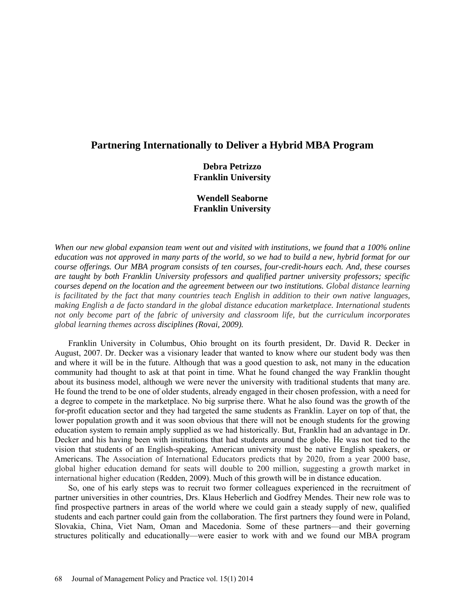## **Partnering Internationally to Deliver a Hybrid MBA Program**

**Debra Petrizzo Franklin University**

## **Wendell Seaborne Franklin University**

*When our new global expansion team went out and visited with institutions, we found that a 100% online education was not approved in many parts of the world, so we had to build a new, hybrid format for our course offerings. Our MBA program consists of ten courses, four-credit-hours each. And, these courses are taught by both Franklin University professors and qualified partner university professors; specific courses depend on the location and the agreement between our two institutions. Global distance learning is facilitated by the fact that many countries teach English in addition to their own native languages, making English a de facto standard in the global distance education marketplace. International students not only become part of the fabric of university and classroom life, but the curriculum incorporates global learning themes across disciplines (Rovai, 2009).* 

Franklin University in Columbus, Ohio brought on its fourth president, Dr. David R. Decker in August, 2007. Dr. Decker was a visionary leader that wanted to know where our student body was then and where it will be in the future. Although that was a good question to ask, not many in the education community had thought to ask at that point in time. What he found changed the way Franklin thought about its business model, although we were never the university with traditional students that many are. He found the trend to be one of older students, already engaged in their chosen profession, with a need for a degree to compete in the marketplace. No big surprise there. What he also found was the growth of the for-profit education sector and they had targeted the same students as Franklin. Layer on top of that, the lower population growth and it was soon obvious that there will not be enough students for the growing education system to remain amply supplied as we had historically. But, Franklin had an advantage in Dr. Decker and his having been with institutions that had students around the globe. He was not tied to the vision that students of an English-speaking, American university must be native English speakers, or Americans. The Association of International Educators predicts that by 2020, from a year 2000 base, global higher education demand for seats will double to 200 million, suggesting a growth market in international higher education (Redden, 2009). Much of this growth will be in distance education.

So, one of his early steps was to recruit two former colleagues experienced in the recruitment of partner universities in other countries, Drs. Klaus Heberlich and Godfrey Mendes. Their new role was to find prospective partners in areas of the world where we could gain a steady supply of new, qualified students and each partner could gain from the collaboration. The first partners they found were in Poland, Slovakia, China, Viet Nam, Oman and Macedonia. Some of these partners—and their governing structures politically and educationally—were easier to work with and we found our MBA program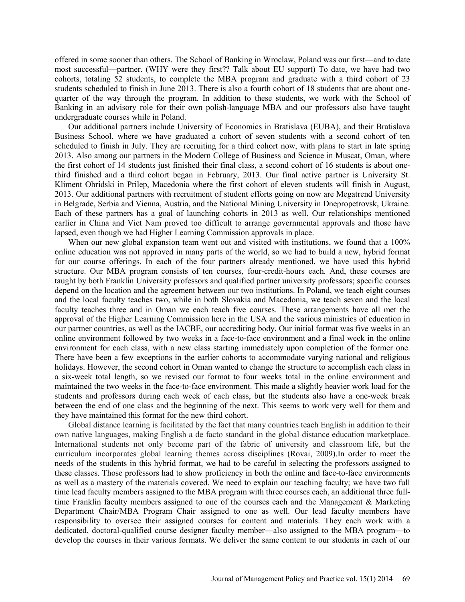offered in some sooner than others. The School of Banking in Wroclaw, Poland was our first—and to date most successful—partner. (WHY were they first?? Talk about EU support) To date, we have had two cohorts, totaling 52 students, to complete the MBA program and graduate with a third cohort of 23 students scheduled to finish in June 2013. There is also a fourth cohort of 18 students that are about onequarter of the way through the program. In addition to these students, we work with the School of Banking in an advisory role for their own polish-language MBA and our professors also have taught undergraduate courses while in Poland.

Our additional partners include University of Economics in Bratislava (EUBA), and their Bratislava Business School, where we have graduated a cohort of seven students with a second cohort of ten scheduled to finish in July. They are recruiting for a third cohort now, with plans to start in late spring 2013. Also among our partners in the Modern College of Business and Science in Muscat, Oman, where the first cohort of 14 students just finished their final class, a second cohort of 16 students is about onethird finished and a third cohort began in February, 2013. Our final active partner is University St. Kliment Ohridski in Prilep, Macedonia where the first cohort of eleven students will finish in August, 2013. Our additional partners with recruitment of student efforts going on now are Megatrend University in Belgrade, Serbia and Vienna, Austria, and the National Mining University in Dnepropetrovsk, Ukraine. Each of these partners has a goal of launching cohorts in 2013 as well. Our relationships mentioned earlier in China and Viet Nam proved too difficult to arrange governmental approvals and those have lapsed, even though we had Higher Learning Commission approvals in place.

When our new global expansion team went out and visited with institutions, we found that a 100% online education was not approved in many parts of the world, so we had to build a new, hybrid format for our course offerings. In each of the four partners already mentioned, we have used this hybrid structure. Our MBA program consists of ten courses, four-credit-hours each. And, these courses are taught by both Franklin University professors and qualified partner university professors; specific courses depend on the location and the agreement between our two institutions. In Poland, we teach eight courses and the local faculty teaches two, while in both Slovakia and Macedonia, we teach seven and the local faculty teaches three and in Oman we each teach five courses. These arrangements have all met the approval of the Higher Learning Commission here in the USA and the various ministries of education in our partner countries, as well as the IACBE, our accrediting body. Our initial format was five weeks in an online environment followed by two weeks in a face-to-face environment and a final week in the online environment for each class, with a new class starting immediately upon completion of the former one. There have been a few exceptions in the earlier cohorts to accommodate varying national and religious holidays. However, the second cohort in Oman wanted to change the structure to accomplish each class in a six-week total length, so we revised our format to four weeks total in the online environment and maintained the two weeks in the face-to-face environment. This made a slightly heavier work load for the students and professors during each week of each class, but the students also have a one-week break between the end of one class and the beginning of the next. This seems to work very well for them and they have maintained this format for the new third cohort.

Global distance learning is facilitated by the fact that many countries teach English in addition to their own native languages, making English a de facto standard in the global distance education marketplace. International students not only become part of the fabric of university and classroom life, but the curriculum incorporates global learning themes across disciplines (Rovai, 2009).In order to meet the needs of the students in this hybrid format, we had to be careful in selecting the professors assigned to these classes. Those professors had to show proficiency in both the online and face-to-face environments as well as a mastery of the materials covered. We need to explain our teaching faculty; we have two full time lead faculty members assigned to the MBA program with three courses each, an additional three fulltime Franklin faculty members assigned to one of the courses each and the Management  $\&$  Marketing Department Chair/MBA Program Chair assigned to one as well. Our lead faculty members have responsibility to oversee their assigned courses for content and materials. They each work with a dedicated, doctoral-qualified course designer faculty member—also assigned to the MBA program—to develop the courses in their various formats. We deliver the same content to our students in each of our